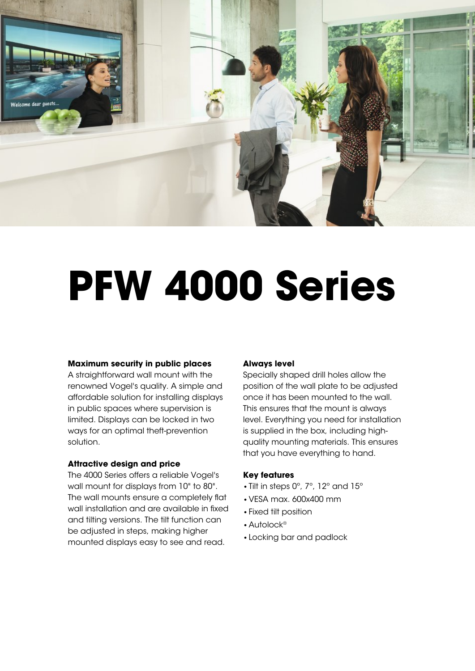

# **PFW 4000 Series**

# **Maximum security in public places**

A straightforward wall mount with the renowned Vogel's quality. A simple and affordable solution for installing displays in public spaces where supervision is limited. Displays can be locked in two ways for an optimal theft-prevention solution.

### **Attractive design and price**

The 4000 Series offers a reliable Vogel's wall mount for displays from 10" to 80". The wall mounts ensure a completely flat wall installation and are available in fixed and tilting versions. The tilt function can be adjusted in steps, making higher mounted displays easy to see and read.

# **Always level**

Specially shaped drill holes allow the position of the wall plate to be adjusted once it has been mounted to the wall. This ensures that the mount is always level. Everything you need for installation is supplied in the box, including highquality mounting materials. This ensures that you have everything to hand.

# **Key features**

- •Tilt in steps 0º, 7º, 12º and 15º
- •VESA max. 600x400 mm
- •Fixed tilt position
- •Autolock®
- •Locking bar and padlock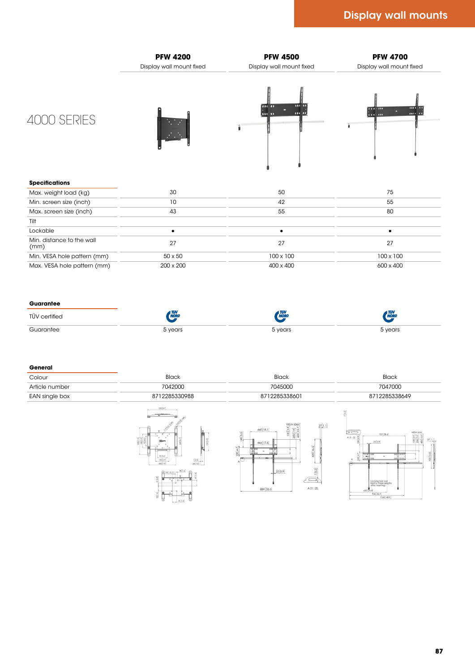

# 4000 SERIES







#### **Specifications Specifications**

| Max. weight load (kg)             |                |           |           |
|-----------------------------------|----------------|-----------|-----------|
| Min. screen size (inch)           |                |           |           |
| Max. screen size (inch)           |                |           |           |
| Tilt                              |                |           |           |
| Lockable                          |                |           |           |
| Min. distance to the wall<br>(mm) |                |           |           |
| Min. VESA hole pattern (mm)       | $50 \times 50$ | 100 x 100 | 100 x 100 |
| Max. VESA hole pattern (mm)       | 200 x 200      | 400 x 400 | 600 x 400 |

#### **Guarantee Guarantee**

| 100000<br>v <del>o</del> ur<br>. | $\gamma$ you.<br>$\sim$<br>$\sim$ $\sim$ |  |
|----------------------------------|------------------------------------------|--|

#### **General General**

| C <sub>2</sub><br>COIOUI | piuui                   | $51 - -$     |            |
|--------------------------|-------------------------|--------------|------------|
| Article number           | 7042000                 | 7045000      | 7047000    |
| EAN single box           | 00050000<br>`228533098، | 712285338601 | 2285338649 |

 $20[4.7]$